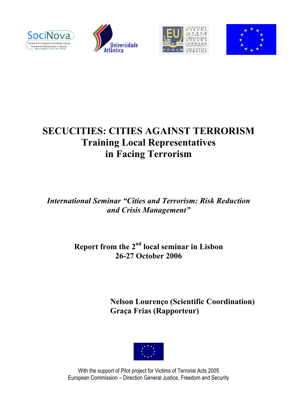







# **SECUCITIES: CITIES AGAINST TERRORISM Training Local Representatives in Facing Terrorism**

*International Seminar "Cities and Terrorism: Risk Reduction and Crisis Management"* 

# **Report from the 2nd local seminar in Lisbon 26-27 October 2006**

**Nelson Lourenço (Scientific Coordination) Graça Frias (Rapporteur)** 



With the support of Pilot project for Victims of Terrorist Acts 2005 European Commission – Direction General Justice, Freedom and Security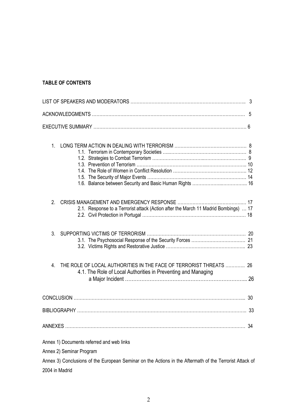# **TABLE OF CONTENTS**

| 1 <sub>1</sub>                                                                                                                       |    |  |
|--------------------------------------------------------------------------------------------------------------------------------------|----|--|
| 2.<br>2.1. Response to a Terrorist attack (Action after the March 11 Madrid Bombings)  17                                            |    |  |
| 3 <sub>l</sub>                                                                                                                       |    |  |
| 4<br>THE ROLE OF LOCAL AUTHORITIES IN THE FACE OF TERRORIST THREATS<br>4.1. The Role of Local Authorities in Preventing and Managing | 26 |  |
|                                                                                                                                      |    |  |
| 33                                                                                                                                   |    |  |
| 34                                                                                                                                   |    |  |
| Annex 1) Documents referred and web links                                                                                            |    |  |
| Annex 2) Seminar Program                                                                                                             |    |  |
| Annex 3) Conclusions of the European Seminar on the Actions in the Aftermath of the Terrorist Attack of                              |    |  |

2004 in Madrid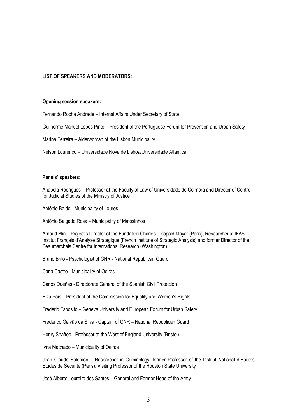#### **LIST OF SPEAKERS AND MODERATORS:**

#### **Opening session speakers:**

Fernando Rocha Andrade – Internal Affairs Under Secretary of State

Guilherme Manuel Lopes Pinto – President of the Portuguese Forum for Prevention and Urban Safety

Marina Ferreira – Alderwoman of the Lisbon Municipality

Nelson Lourenço – Universidade Nova de Lisboa/Universidade Atlântica

#### **Panels' speakers:**

Anabela Rodrigues – Professor at the Faculty of Law of Universidade de Coimbra and Director of Centre for Judicial Studies of the Ministry of Justice

António Baldo - Municipality of Loures

António Salgado Rosa – Municipality of Matosinhos

Arnaud Blin – Project's Director of the Fundation Charles- Léopold Mayer (Paris), Researcher at IFAS – Institut Français d'Analyse Stratégique (French Institute of Strategic Analysis) and former Director of the Beaumarchais Centre for International Research (Washington)

Bruno Brito - Psychologist of GNR - National Republican Guard

Carla Castro - Municipality of Oeiras

Carlos Dueñas - Directorate General of the Spanish Civil Protection

Elza Pais – President of the Commission for Equality and Women's Rights

Fredéric Esposito – Geneva University and European Forum for Urban Safety

Frederico Galvão da Silva - Captain of GNR – National Republican Guard

Henry Shaftoe - Professor at the West of England University (Bristol)

Ivna Machado – Municipality of Oeiras

Jean Claude Salomon – Researcher in Criminology; former Professor of the Institut National d'Hautes Études de Securité (Paris); Visiting Professor of the Houston State University

José Alberto Loureiro dos Santos – General and Former Head of the Army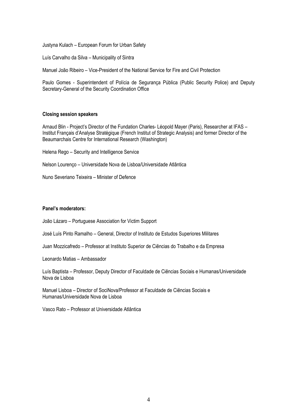Justyna Kulach – European Forum for Urban Safety

Luís Carvalho da Silva – Municipality of Sintra

Manuel João Ribeiro – Vice-President of the National Service for Fire and Civil Protection

Paulo Gomes - Superintendent of Polícia de Segurança Pública (Public Security Police) and Deputy Secretary-General of the Security Coordination Office

#### **Closing session speakers**

Arnaud Blin - Project's Director of the Fundation Charles- Léopold Mayer (Paris), Researcher at IFAS – Institut Français d'Analyse Stratégique (French Institut of Strategic Analysis) and former Director of the Beaumarchais Centre for International Research (Washington)

Helena Rego – Security and Intelligence Service

Nelson Lourenço – Universidade Nova de Lisboa/Universidade Atlântica

Nuno Severiano Teixeira – Minister of Defence

#### **Panel's moderators:**

João Lázaro – Portuguese Association for Victim Support

José Luís Pinto Ramalho – General, Director of Instituto de Estudos Superiores Militares

Juan Mozzicafredo – Professor at Instituto Superior de Ciências do Trabalho e da Empresa

Leonardo Matias – Ambassador

Luís Baptista – Professor, Deputy Director of Faculdade de Ciências Sociais e Humanas/Universidade Nova de Lisboa

Manuel Lisboa – Director of SociNova/Professor at Faculdade de Ciências Sociais e Humanas/Universidade Nova de Lisboa

Vasco Rato – Professor at Universidade Atlântica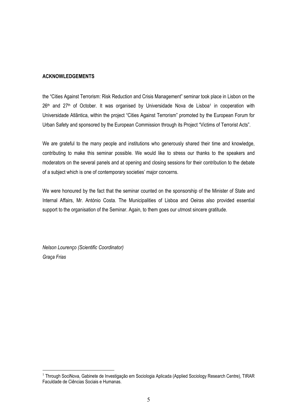#### **ACKNOWLEDGEMENTS**

the "Cities Against Terrorism: Risk Reduction and Crisis Management" seminar took place in Lisbon on the 26<sup>th</sup> and 27<sup>th</sup> of October. It was organised by Universidade Nova de Lisboa<sup>1</sup> in cooperation with Universidade Atlântica, within the project "Cities Against Terrorism" promoted by the European Forum for Urban Safety and sponsored by the European Commission through its Project "Victims of Terrorist Acts".

We are grateful to the many people and institutions who generously shared their time and knowledge, contributing to make this seminar possible. We would like to stress our thanks to the speakers and moderators on the several panels and at opening and closing sessions for their contribution to the debate of a subject which is one of contemporary societies' major concerns.

We were honoured by the fact that the seminar counted on the sponsorship of the Minister of State and Internal Affairs, Mr. António Costa. The Municipalities of Lisboa and Oeiras also provided essential support to the organisation of the Seminar. Again, to them goes our utmost sincere gratitude.

*Nelson Lourenço (Scientific Coordinator) Graça Frias* 

<sup>&</sup>lt;sup>1</sup> Through SociNova, Gabinete de Investigação em Sociologia Aplicada (Applied Sociology Research Centre), TIRAR Faculdade de Ciências Sociais e Humanas.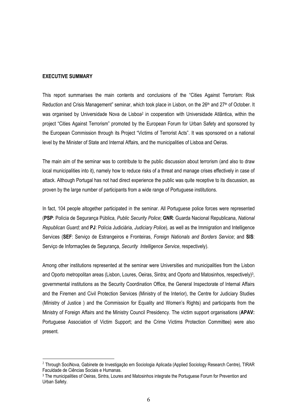#### **EXECUTIVE SUMMARY**

 $\overline{a}$ 

This report summarises the main contents and conclusions of the "Cities Against Terrorism: Risk Reduction and Crisis Management" seminar, which took place in Lisbon, on the 26<sup>th</sup> and 27<sup>th</sup> of October. It was organised by Universidade Nova de Lisboa<sup>2</sup> in cooperation with Universidade Atlântica, within the project "Cities Against Terrorism" promoted by the European Forum for Urban Safety and sponsored by the European Commission through its Project "Victims of Terrorist Acts". It was sponsored on a national level by the Minister of State and Internal Affairs, and the municipalities of Lisboa and Oeiras.

The main aim of the seminar was to contribute to the public discussion about terrorism (and also to draw local municipalities into it), namely how to reduce risks of a threat and manage crises effectively in case of attack. Although Portugal has not had direct experience the public was quite receptive to its discussion, as proven by the large number of participants from a wide range of Portuguese institutions.

In fact, 104 people altogether participated in the seminar. All Portuguese police forces were represented (**PSP**: Polícia de Segurança Pública, *Public Security Police*; **GNR**: Guarda Nacional Republicana, *National Republican Guard;* and **PJ**: Polícia Judiciária, *Judiciary Police*), as well as the Immigration and Intelligence Services (**SEF**: Serviço de Estrangeiros e Fronteiras, *Foreign Nationals and Borders Service*; and **SIS**: Serviço de Informações de Segurança, *Security Intelligence Service*, respectively).

Among other institutions represented at the seminar were Universities and municipalities from the Lisbon and Oporto metropolitan areas (Lisbon, Loures, Oeiras, Sintra; and Oporto and Matosinhos, respectively)<sup>3</sup>, governmental institutions as the Security Coordination Office, the General Inspectorate of Internal Affairs and the Firemen and Civil Protection Services (Ministry of the Interior), the Centre for Judiciary Studies (Ministry of Justice ) and the Commission for Equality and Women's Rights) and participants from the Ministry of Foreign Affairs and the Ministry Council Presidency. The victim support organisations (**APAV:** Portuguese Association of Victim Support; and the Crime Victims Protection Committee) were also present.

<sup>&</sup>lt;sup>2</sup> Through SociNova, Gabinete de Investigação em Sociologia Aplicada (Applied Sociology Research Centre), TIRAR Faculdade de Ciências Sociais e Humanas.

<sup>3</sup> The municipalities of Oeiras, Sintra, Loures and Matosinhos integrate the Portuguese Forum for Prevention and Urban Safety.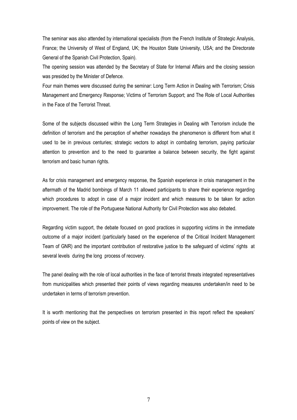The seminar was also attended by international specialists (from the French Institute of Strategic Analysis, France; the University of West of England, UK; the Houston State University, USA; and the Directorate General of the Spanish Civil Protection, Spain).

The opening session was attended by the Secretary of State for Internal Affairs and the closing session was presided by the Minister of Defence.

Four main themes were discussed during the seminar: Long Term Action in Dealing with Terrorism; Crisis Management and Emergency Response; Victims of Terrorism Support; and The Role of Local Authorities in the Face of the Terrorist Threat.

Some of the subjects discussed within the Long Term Strategies in Dealing with Terrorism include the definition of terrorism and the perception of whether nowadays the phenomenon is different from what it used to be in previous centuries; strategic vectors to adopt in combating terrorism, paying particular attention to prevention and to the need to guarantee a balance between security, the fight against terrorism and basic human rights.

As for crisis management and emergency response, the Spanish experience in crisis management in the aftermath of the Madrid bombings of March 11 allowed participants to share their experience regarding which procedures to adopt in case of a major incident and which measures to be taken for action improvement. The role of the Portuguese National Authority for Civil Protection was also debated.

Regarding victim support, the debate focused on good practices in supporting victims in the immediate outcome of a major incident (particularly based on the experience of the Critical Incident Management Team of GNR) and the important contribution of restorative justice to the safeguard of victims' rights at several levels during the long process of recovery.

The panel dealing with the role of local authorities in the face of terrorist threats integrated representatives from municipalities which presented their points of views regarding measures undertaken/in need to be undertaken in terms of terrorism prevention.

It is worth mentioning that the perspectives on terrorism presented in this report reflect the speakers' points of view on the subject.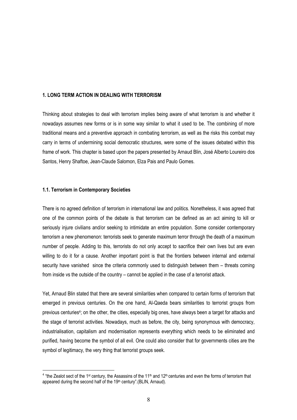#### **1. LONG TERM ACTION IN DEALING WITH TERRORISM**

Thinking about strategies to deal with terrorism implies being aware of what terrorism is and whether it nowadays assumes new forms or is in some way similar to what it used to be. The combining of more traditional means and a preventive approach in combating terrorism, as well as the risks this combat may carry in terms of undermining social democratic structures, were some of the issues debated within this frame of work. This chapter is based upon the papers presented by Arnaud Blin, José Alberto Loureiro dos Santos, Henry Shaftoe, Jean-Claude Salomon, Elza Pais and Paulo Gomes.

#### **1.1. Terrorism in Contemporary Societies**

 $\overline{a}$ 

There is no agreed definition of terrorism in international law and politics. Nonetheless, it was agreed that one of the common points of the debate is that terrorism can be defined as an act aiming to kill or seriously injure civilians and/or seeking to intimidate an entire population. Some consider contemporary terrorism a new phenomenon: terrorists seek to generate maximum terror through the death of a maximum number of people. Adding to this, terrorists do not only accept to sacrifice their own lives but are even willing to do it for a cause. Another important point is that the frontiers between internal and external security have vanished since the criteria commonly used to distinguish between them – threats coming from inside vs the outside of the country – cannot be applied in the case of a terrorist attack.

Yet, Arnaud Blin stated that there are several similarities when compared to certain forms of terrorism that emerged in previous centuries. On the one hand, Al-Qaeda bears similarities to terrorist groups from previous centuries4; on the other, the cities, especially big ones, have always been a target for attacks and the stage of terrorist activities. Nowadays, much as before, the city, being synonymous with democracy, industrialisation, capitalism and modernisation represents everything which needs to be eliminated and purified, having become the symbol of all evil. One could also consider that for governments cities are the symbol of legitimacy, the very thing that terrorist groups seek.

 $4$  "the Zealot sect of the 1<sup>st</sup> century, the Assassins of the 11<sup>th</sup> and 12<sup>th</sup> centuries and even the forms of terrorism that appeared during the second half of the 19th century". (BLIN, Arnaud).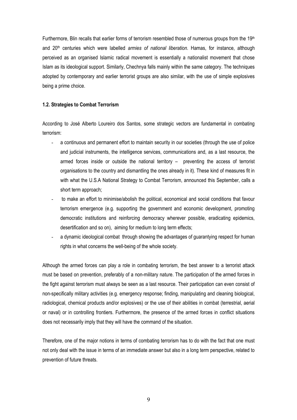Furthermore, Blin recalls that earlier forms of terrorism resembled those of numerous groups from the 19th and 20th centuries which were labelled *armies of national liberation*. Hamas, for instance, although perceived as an organised Islamic radical movement is essentially a nationalist movement that chose Islam as its ideological support. Similarly, Chechnya falls mainly within the same category. The techniques adopted by contemporary and earlier terrorist groups are also similar, with the use of simple explosives being a prime choice.

#### **1.2. Strategies to Combat Terrorism**

According to José Alberto Loureiro dos Santos, some strategic vectors are fundamental in combating terrorism:

- a continuous and permanent effort to maintain security in our societies (through the use of police and judicial instruments, the intelligence services, communications and, as a last resource, the armed forces inside or outside the national territory – preventing the access of terrorist organisations to the country and dismantling the ones already in it). These kind of measures fit in with what the U.S.A National Strategy to Combat Terrorism, announced this September, calls a short term approach;
- to make an effort to minimise/abolish the political, economical and social conditions that favour terrorism emergence (e.g. supporting the government and economic development, promoting democratic institutions and reinforcing democracy wherever possible, eradicating epidemics, desertification and so on), aiming for medium to long term effects;
- a dynamic ideological combat through showing the advantages of guarantying respect for human rights in what concerns the well-being of the whole society.

Although the armed forces can play a role in combating terrorism, the best answer to a terrorist attack must be based on prevention, preferably of a non-military nature. The participation of the armed forces in the fight against terrorism must always be seen as a last resource. Their participation can even consist of non-specifically military activities (e.g. emergency response; finding, manipulating and cleaning biological, radiological, chemical products and/or explosives) or the use of their abilities in combat (terrestrial, aerial or naval) or in controlling frontiers. Furthermore, the presence of the armed forces in conflict situations does not necessarily imply that they will have the command of the situation.

Therefore, one of the major notions in terms of combating terrorism has to do with the fact that one must not only deal with the issue in terms of an immediate answer but also in a long term perspective, related to prevention of future threats.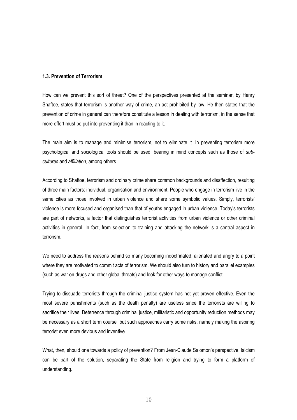#### **1.3. Prevention of Terrorism**

How can we prevent this sort of threat? One of the perspectives presented at the seminar, by Henry Shaftoe, states that terrorism is another way of crime, an act prohibited by law. He then states that the prevention of crime in general can therefore constitute a lesson in dealing with terrorism, in the sense that more effort must be put into preventing it than in reacting to it.

The main aim is to manage and minimise terrorism, not to eliminate it. In preventing terrorism more psychological and sociological tools should be used, bearing in mind concepts such as those of *subcultures* and *affiliation*, among others.

According to Shaftoe, terrorism and ordinary crime share common backgrounds and disaffection, resulting of three main factors: individual, organisation and environment. People who engage in terrorism live in the same cities as those involved in urban violence and share some symbolic values. Simply, terrorists' violence is more focused and organised than that of youths engaged in urban violence. Today's terrorists are part of networks, a factor that distinguishes terrorist activities from urban violence or other criminal activities in general. In fact, from selection to training and attacking the network is a central aspect in terrorism.

We need to address the reasons behind so many becoming indoctrinated, alienated and angry to a point where they are motivated to commit acts of terrorism. We should also turn to history and parallel examples (such as war on drugs and other global threats) and look for other ways to manage conflict.

Trying to dissuade terrorists through the criminal justice system has not yet proven effective. Even the most severe punishments (such as the death penalty) are useless since the terrorists are willing to sacrifice their lives. Deterrence through criminal justice, militaristic and opportunity reduction methods may be necessary as a short term course but such approaches carry some risks, namely making the aspiring terrorist even more devious and inventive.

What, then, should one towards a policy of prevention? From Jean-Claude Salomon's perspective, laicism can be part of the solution, separating the State from religion and trying to form a platform of understanding.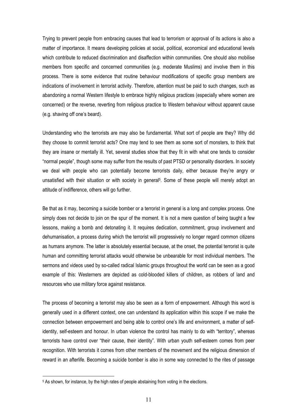Trying to prevent people from embracing causes that lead to terrorism or approval of its actions is also a matter of importance. It means developing policies at social, political, economical and educational levels which contribute to reduced discrimination and disaffection within communities. One should also mobilise members from specific and concerned communities (e.g. moderate Muslims) and involve them in this process. There is some evidence that routine behaviour modifications of specific group members are indications of involvement in terrorist activity. Therefore, attention must be paid to such changes, such as abandoning a normal Western lifestyle to embrace highly religious practices (especially where women are concerned) or the reverse, reverting from religious practice to Western behaviour without apparent cause (e.g. shaving off one's beard).

Understanding who the terrorists are may also be fundamental. What sort of people are they? Why did they choose to commit terrorist acts? One may tend to see them as some sort of monsters, to think that they are insane or mentally ill. Yet, several studies show that they fit in with what one tends to consider "normal people", though some may suffer from the results of past PTSD or personality disorders. In society we deal with people who can potentially become terrorists daily, either because they're angry or unsatisfied with their situation or with society in general<sup>5</sup>. Some of these people will merely adopt an attitude of indifference, others will go further.

Be that as it may, becoming a suicide bomber or a terrorist in general is a long and complex process. One simply does not decide to join on the spur of the moment. It is not a mere question of being taught a few lessons, making a bomb and detonating it. It requires dedication, commitment, group involvement and dehumanisation, a process during which the terrorist will progressively no longer regard common citizens as humans anymore. The latter is absolutely essential because, at the onset, the potential terrorist is quite human and committing terrorist attacks would otherwise be unbearable for most individual members. The sermons and videos used by so-called radical Islamic groups throughout the world can be seen as a good example of this: Westerners are depicted as cold-blooded killers of children, as robbers of land and resources who use military force against resistance.

The process of becoming a terrorist may also be seen as a form of empowerment. Although this word is generally used in a different context, one can understand its application within this scope if we make the connection between empowerment and being able to control one's life and environment, a matter of selfidentity, self-esteem and honour. In urban violence the control has mainly to do with "territory", whereas terrorists have control over "their cause, their identity". With urban youth self-esteem comes from peer recognition. With terrorists it comes from other members of the movement and the religious dimension of reward in an afterlife. Becoming a suicide bomber is also in some way connected to the rites of passage

<sup>&</sup>lt;sup>5</sup> As shown, for instance, by the high rates of people abstaining from voting in the elections.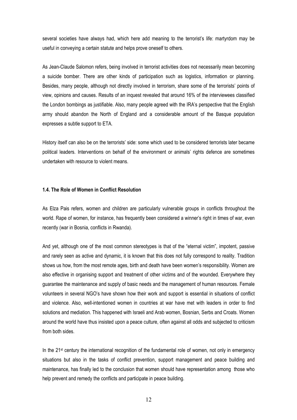several societies have always had, which here add meaning to the terrorist's life: martyrdom may be useful in conveying a certain statute and helps prove oneself to others.

As Jean-Claude Salomon refers, being involved in terrorist activities does not necessarily mean becoming a suicide bomber. There are other kinds of participation such as logistics, information or planning. Besides, many people, although not directly involved in terrorism, share some of the terrorists' points of view, opinions and causes. Results of an inquest revealed that around 16% of the interviewees classified the London bombings as justifiable. Also, many people agreed with the IRA's perspective that the English army should abandon the North of England and a considerable amount of the Basque population expresses a subtle support to ETA.

History itself can also be on the terrorists' side: some which used to be considered terrorists later became political leaders. Interventions on behalf of the environment or animals' rights defence are sometimes undertaken with resource to violent means.

#### **1.4. The Role of Women in Conflict Resolution**

As Elza Pais refers, women and children are particularly vulnerable groups in conflicts throughout the world. Rape of women, for instance, has frequently been considered a winner's right in times of war, even recently (war in Bosnia, conflicts in Rwanda).

And yet, although one of the most common stereotypes is that of the "eternal victim", impotent, passive and rarely seen as active and dynamic, it is known that this does not fully correspond to reality. Tradition shows us how, from the most remote ages, birth and death have been women's responsibility. Women are also effective in organising support and treatment of other victims and of the wounded. Everywhere they guarantee the maintenance and supply of basic needs and the management of human resources. Female volunteers in several NGO's have shown how their work and support is essential in situations of conflict and violence. Also, well-intentioned women in countries at war have met with leaders in order to find solutions and mediation. This happened with Israeli and Arab women, Bosnian, Serbs and Croats. Women around the world have thus insisted upon a peace culture, often against all odds and subjected to criticism from both sides.

In the 21<sup>st</sup> century the international recognition of the fundamental role of women, not only in emergency situations but also in the tasks of conflict prevention, support management and peace building and maintenance, has finally led to the conclusion that women should have representation among those who help prevent and remedy the conflicts and participate in peace building.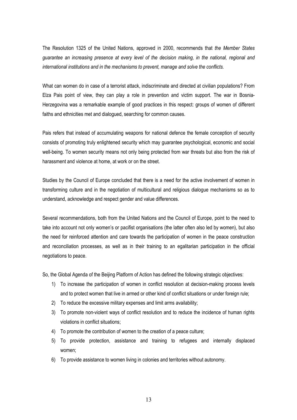The Resolution 1325 of the United Nations, approved in 2000, recommends that *the Member States guarantee an increasing presence at every level of the decision making, in the national, regional and international institutions and in the mechanisms to prevent, manage and solve the conflicts.*

What can women do in case of a terrorist attack, indiscriminate and directed at civilian populations? From Elza Pais point of view, they can play a role in prevention and victim support. The war in Bosnia-Herzegovina was a remarkable example of good practices in this respect: groups of women of different faiths and ethnicities met and dialogued, searching for common causes.

Pais refers that instead of accumulating weapons for national defence the female conception of security consists of promoting truly enlightened security which may guarantee psychological, economic and social well-being. To women security means not only being protected from war threats but also from the risk of harassment and violence at home, at work or on the street.

Studies by the Council of Europe concluded that there is a need for the active involvement of women in transforming culture and in the negotiation of multicultural and religious dialogue mechanisms so as to understand, acknowledge and respect gender and value differences.

Several recommendations, both from the United Nations and the Council of Europe, point to the need to take into account not only women's or pacifist organisations (the latter often also led by women), but also the need for reinforced attention and care towards the participation of women in the peace construction and reconciliation processes, as well as in their training to an egalitarian participation in the official negotiations to peace.

So, the Global Agenda of the Beijing Platform of Action has defined the following strategic objectives:

- 1) To increase the participation of women in conflict resolution at decision-making process levels and to protect women that live in armed or other kind of conflict situations or under foreign rule;
- 2) To reduce the excessive military expenses and limit arms availability;
- 3) To promote non-violent ways of conflict resolution and to reduce the incidence of human rights violations in conflict situations;
- 4) To promote the contribution of women to the creation of a peace culture;
- 5) To provide protection, assistance and training to refugees and internally displaced women;
- 6) To provide assistance to women living in colonies and territories without autonomy.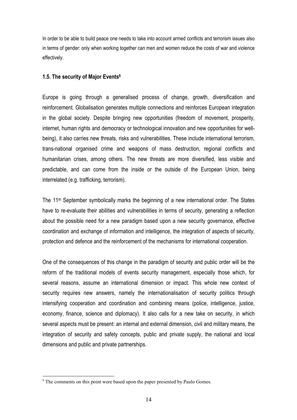In order to be able to build peace one needs to take into account armed conflicts and terrorism issues also in terms of gender: only when working together can men and women reduce the costs of war and violence effectively.

### **1.5. The security of Major Events6**

Europe is going through a generalised process of change, growth, diversification and reinforcement. Globalisation generates multiple connections and reinforces European integration in the global society. Despite bringing new opportunities (freedom of movement, prosperity, internet, human rights and democracy or technological innovation and new opportunities for wellbeing), it also carries new threats, risks and vulnerabilities. These include international terrorism, trans-national organised crime and weapons of mass destruction, regional conflicts and humanitarian crises, among others. The new threats are more diversified, less visible and predictable, and can come from the inside or the outside of the European Union, being interrelated (e.g. trafficking, terrorism).

The 11th September symbolically marks the beginning of a new international order. The States have to re-evaluate their abilities and vulnerabilities in terms of security, generating a reflection about the possible need for a new paradigm based upon a new security governance, effective coordination and exchange of information and intelligence, the integration of aspects of security, protection and defence and the reinforcement of the mechanisms for international cooperation.

One of the consequences of this change in the paradigm of security and public order will be the reform of the traditional models of events security management, especially those which, for several reasons, assume an international dimension or impact. This whole new context of security requires new answers, namely the internationalisation of security politics through intensifying cooperation and coordination and combining means (police, intelligence, justice, economy, finance, science and diplomacy). It also calls for a new take on security, in which several aspects must be present: an internal and external dimension, civil and military means, the integration of security and safety concepts, public and private supply, the national and local dimensions and public and private partnerships.

<sup>&</sup>lt;sup>6</sup> The comments on this point were based upon the paper presented by Paulo Gomes.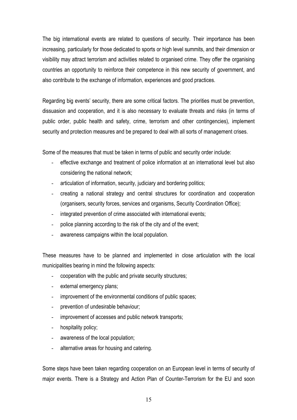The big international events are related to questions of security. Their importance has been increasing, particularly for those dedicated to sports or high level summits, and their dimension or visibility may attract terrorism and activities related to organised crime. They offer the organising countries an opportunity to reinforce their competence in this new security of government, and also contribute to the exchange of information, experiences and good practices.

Regarding big events' security, there are some critical factors. The priorities must be prevention, dissuasion and cooperation, and it is also necessary to evaluate threats and risks (in terms of public order, public health and safety, crime, terrorism and other contingencies), implement security and protection measures and be prepared to deal with all sorts of management crises.

Some of the measures that must be taken in terms of public and security order include:

- effective exchange and treatment of police information at an international level but also considering the national network;
- articulation of information, security, judiciary and bordering politics;
- creating a national strategy and central structures for coordination and cooperation (organisers, security forces, services and organisms, Security Coordination Office);
- integrated prevention of crime associated with international events;
- police planning according to the risk of the city and of the event;
- awareness campaigns within the local population.

These measures have to be planned and implemented in close articulation with the local municipalities bearing in mind the following aspects:

- cooperation with the public and private security structures;
- external emergency plans;
- improvement of the environmental conditions of public spaces;
- prevention of undesirable behaviour;
- improvement of accesses and public network transports;
- hospitality policy;
- awareness of the local population;
- alternative areas for housing and catering.

Some steps have been taken regarding cooperation on an European level in terms of security of major events. There is a Strategy and Action Plan of Counter-Terrorism for the EU and soon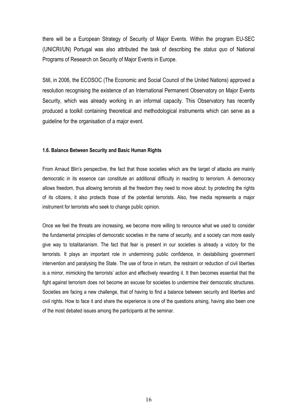there will be a European Strategy of Security of Major Events. Within the program EU-SEC (UNICRI/UN) Portugal was also attributed the task of describing the *status quo* of National Programs of Research on Security of Major Events in Europe.

Still, in 2006, the ECOSOC (The Economic and Social Council of the United Nations) approved a resolution recognising the existence of an International Permanent Observatory on Major Events Security, which was already working in an informal capacity. This Observatory has recently produced a toolkit containing theoretical and methodological instruments which can serve as a guideline for the organisation of a major event.

#### **1.6. Balance Between Security and Basic Human Rights**

From Arnaud Blin's perspective, the fact that those societies which are the target of attacks are mainly democratic in its essence can constitute an additional difficulty in reacting to terrorism. A democracy allows freedom, thus allowing terrorists all the freedom they need to move about: by protecting the rights of its citizens, it also protects those of the potential terrorists. Also, free media represents a major instrument for terrorists who seek to change public opinion.

Once we feel the threats are increasing, we become more willing to renounce what we used to consider the fundamental principles of democratic societies in the name of security, and a society can more easily give way to totalitarianism. The fact that fear is present in our societies is already a victory for the terrorists. It plays an important role in undermining public confidence, in destabilising government intervention and paralysing the State. The use of force in return, the restraint or reduction of civil liberties is a mirror, mimicking the terrorists' action and effectively rewarding it. It then becomes essential that the fight against terrorism does not become an excuse for societies to undermine their democratic structures. Societies are facing a new challenge, that of having to find a balance between security and liberties and civil rights. How to face it and share the experience is one of the questions arising, having also been one of the most debated issues among the participants at the seminar.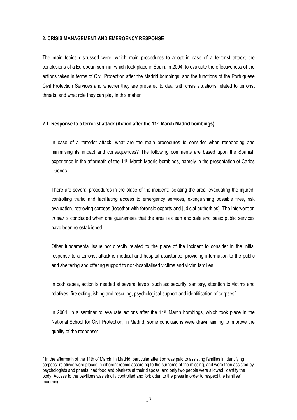#### **2. CRISIS MANAGEMENT AND EMERGENCY RESPONSE**

The main topics discussed were: which main procedures to adopt in case of a terrorist attack; the conclusions of a European seminar which took place in Spain, in 2004, to evaluate the effectiveness of the actions taken in terms of Civil Protection after the Madrid bombings; and the functions of the Portuguese Civil Protection Services and whether they are prepared to deal with crisis situations related to terrorist threats, and what role they can play in this matter.

#### **2.1. Response to a terrorist attack (Action after the 11th March Madrid bombings)**

In case of a terrorist attack, what are the main procedures to consider when responding and minimising its impact and consequences? The following comments are based upon the Spanish experience in the aftermath of the 11<sup>th</sup> March Madrid bombings, namely in the presentation of Carlos Dueñas.

There are several procedures in the place of the incident: isolating the area, evacuating the injured, controlling traffic and facilitating access to emergency services, extinguishing possible fires, risk evaluation, retrieving corpses (together with forensic experts and judicial authorities). The intervention *in situ* is concluded when one guarantees that the area is clean and safe and basic public services have been re-established.

Other fundamental issue not directly related to the place of the incident to consider in the initial response to a terrorist attack is medical and hospital assistance, providing information to the public and sheltering and offering support to non-hospitalised victims and victim families.

In both cases, action is needed at several levels, such as: security, sanitary, attention to victims and relatives, fire extinguishing and rescuing, psychological support and identification of corpses7.

In 2004, in a seminar to evaluate actions after the  $11<sup>th</sup>$  March bombings, which took place in the National School for Civil Protection, in Madrid, some conclusions were drawn aiming to improve the quality of the response:

<sup>7</sup> In the aftermath of the 11th of March, in Madrid, particular attention was paid to assisting families in identifying corpses: relatives were placed in different rooms according to the surname of the missing, and were then assisted by psychologists and priests, had food and blankets at their disposal and only two people were allowed identify the body. Access to the pavilions was strictly controlled and forbidden to the press in order to respect the families' mourning.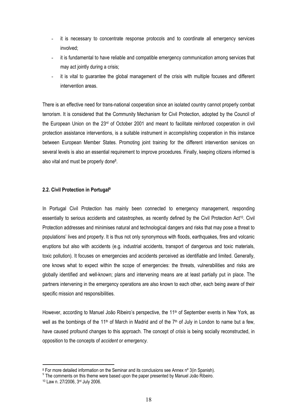- it is necessary to concentrate response protocols and to coordinate all emergency services involved;
- it is fundamental to have reliable and compatible emergency communication among services that may act jointly during a crisis;
- it is vital to guarantee the global management of the crisis with multiple focuses and different intervention areas.

There is an effective need for trans-national cooperation since an isolated country cannot properly combat terrorism. It is considered that the Community Mechanism for Civil Protection, adopted by the Council of the European Union on the 23rd of October 2001 and meant to facilitate reinforced cooperation in civil protection assistance interventions, is a suitable instrument in accomplishing cooperation in this instance between European Member States. Promoting joint training for the different intervention services on several levels is also an essential requirement to improve procedures. Finally, keeping citizens informed is also vital and must be properly done8.

#### **2.2. Civil Protection in Portugal9**

In Portugal Civil Protection has mainly been connected to emergency management, responding essentially to serious accidents and catastrophes, as recently defined by the Civil Protection Act10. Civil Protection addresses and minimises natural and technological dangers and risks that may pose a threat to populations' lives and property. It is thus not only synonymous with floods, earthquakes, fires and volcanic eruptions but also with accidents (e.g. industrial accidents, transport of dangerous and toxic materials, toxic pollution). It focuses on emergencies and accidents perceived as identifiable and limited. Generally, one knows what to expect within the scope of emergencies: the threats, vulnerabilities and risks are globally identified and well-known; plans and intervening means are at least partially put in place. The partners intervening in the emergency operations are also known to each other, each being aware of their specific mission and responsibilities.

However, according to Manuel João Ribeiro's perspective, the 11<sup>th</sup> of September events in New York, as well as the bombings of the 11<sup>th</sup> of March in Madrid and of the 7<sup>th</sup> of July in London to name but a few, have caused profound changes to this approach. The concept of *crisis* is being socially reconstructed, in opposition to the concepts of *accident* or *emergency*.

<sup>8</sup> For more detailed information on the Seminar and its conclusions see Annex nº 3(in Spanish).

<sup>&</sup>lt;sup>9</sup> The comments on this theme were based upon the paper presented by Manuel João Ribeiro.

<sup>10</sup> Law n. 27/2006, 3rd July 2006.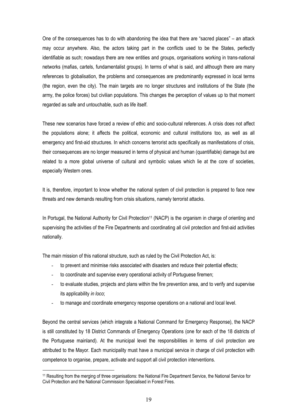One of the consequences has to do with abandoning the idea that there are "sacred places" – an attack may occur anywhere. Also, the actors taking part in the conflicts used to be the States, perfectly identifiable as such; nowadays there are new entities and groups, organisations working in trans-national networks (mafias, cartels, fundamentalist groups). In terms of what is said, and although there are many references to globalisation, the problems and consequences are predominantly expressed in local terms (the region, even the city). The main targets are no longer structures and institutions of the State (the army, the police forces) but civilian populations. This changes the perception of values up to that moment regarded as safe and untouchable, such as life itself.

These new scenarios have forced a review of ethic and socio-cultural references. A crisis does not affect the populations alone; it affects the political, economic and cultural institutions too, as well as all emergency and first-aid structures. In which concerns terrorist acts specifically as manifestations of crisis, their consequences are no longer measured in terms of physical and human (quantifiable) damage but are related to a more global universe of cultural and symbolic values which lie at the core of societies, especially Western ones.

It is, therefore, important to know whether the national system of civil protection is prepared to face new threats and new demands resulting from crisis situations, namely terrorist attacks.

In Portugal, the National Authority for Civil Protection<sup>11</sup> (NACP) is the organism in charge of orienting and supervising the activities of the Fire Departments and coordinating all civil protection and first-aid activities nationally.

The main mission of this national structure, such as ruled by the Civil Protection Act, is:

- to prevent and minimise risks associated with disasters and reduce their potential effects;
- to coordinate and supervise every operational activity of Portuguese firemen;
- to evaluate studies, projects and plans within the fire prevention area, and to verify and supervise its applicability *in loco*;
- to manage and coordinate emergency response operations on a national and local level.

Beyond the central services (which integrate a National Command for Emergency Response), the NACP is still constituted by 18 District Commands of Emergency Operations (one for each of the 18 districts of the Portuguese mainland). At the municipal level the responsibilities in terms of civil protection are attributed to the Mayor. Each municipality must have a municipal service in charge of civil protection with competence to organise, prepare, activate and support all civil protection interventions.

<sup>11</sup> Resulting from the merging of three organisations: the National Fire Department Service, the National Service for Civil Protection and the National Commission Specialised in Forest Fires.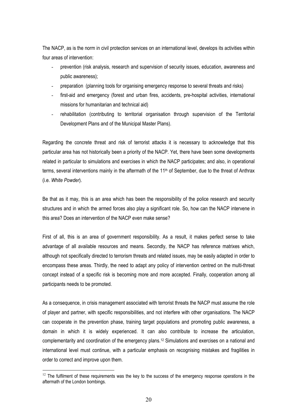The NACP, as is the norm in civil protection services on an international level, develops its activities within four areas of intervention:

- prevention (risk analysis, research and supervision of security issues, education, awareness and public awareness);
- preparation (planning tools for organising emergency response to several threats and risks)
- first-aid and emergency (forest and urban fires, accidents, pre-hospital activities, international missions for humanitarian and technical aid)
- rehabilitation (contributing to territorial organisation through supervision of the Territorial Development Plans and of the Municipal Master Plans).

Regarding the concrete threat and risk of terrorist attacks it is necessary to acknowledge that this particular area has not historically been a priority of the NACP. Yet, there have been some developments related in particular to simulations and exercises in which the NACP participates; and also, in operational terms, several interventions mainly in the aftermath of the  $11<sup>th</sup>$  of September, due to the threat of Anthrax (i.e. *White Powder*).

Be that as it may, this is an area which has been the responsibility of the police research and security structures and in which the armed forces also play a significant role. So, how can the NACP intervene in this area? Does an intervention of the NACP even make sense?

First of all, this is an area of government responsibility. As a result, it makes perfect sense to take advantage of all available resources and means. Secondly, the NACP has reference matrixes which, although not specifically directed to terrorism threats and related issues, may be easily adapted in order to encompass these areas. Thirdly, the need to adapt any policy of intervention centred on the multi-threat concept instead of a specific risk is becoming more and more accepted. Finally, cooperation among all participants needs to be promoted.

As a consequence, in crisis management associated with terrorist threats the NACP must assume the role of player and partner, with specific responsibilities, and not interfere with other organisations. The NACP can cooperate in the prevention phase, training target populations and promoting public awareness, a domain in which it is widely experienced. It can also contribute to increase the articulation, complementarity and coordination of the emergency plans.<sup>12</sup> Simulations and exercises on a national and international level must continue, with a particular emphasis on recognising mistakes and fragilities in order to correct and improve upon them.

 $12$  The fulfilment of these requirements was the key to the success of the emergency response operations in the aftermath of the London bombings.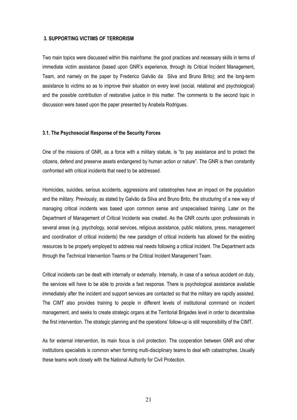#### **3. SUPPORTING VICTIMS OF TERRORISM**

Two main topics were discussed within this mainframe: the good practices and necessary skills in terms of immediate victim assistance (based upon GNR's experience, through its Critical Incident Management, Team, and namely on the paper by Frederico Galvão da Silva and Bruno Brito); and the long-term assistance to victims so as to improve their situation on every level (social, relational and psychological) and the possible contribution of restorative justice in this matter. The comments to the second topic in discussion were based upon the paper presented by Anabela Rodrigues.

#### **3.1. The Psychosocial Response of the Security Forces**

One of the missions of GNR, as a force with a military statute, is "to pay assistance and to protect the citizens, defend and preserve assets endangered by human action or nature". The GNR is then constantly confronted with critical incidents that need to be addressed.

Homicides, suicides, serious accidents, aggressions and catastrophes have an impact on the population and the military. Previously, as stated by Galvão da Silva and Bruno Brito, the structuring of a new way of managing critical incidents was based upon common sense and unspecialised training. Later on the Department of Management of Critical Incidents was created. As the GNR counts upon professionals in several areas (e.g. psychology, social services, religious assistance, public relations, press, management and coordination of critical incidents) the new paradigm of critical incidents has allowed for the existing resources to be properly employed to address real needs following a critical incident. The Department acts through the Technical Intervention Teams or the Critical Incident Management Team.

Critical incidents can be dealt with internally or externally. Internally, in case of a serious accident on duty, the services will have to be able to provide a fast response. There is psychological assistance available immediately after the incident and support services are contacted so that the military are rapidly assisted. The CIMT also provides training to people in different levels of institutional command on incident management, and seeks to create strategic organs at the Territorial Brigades level in order to decentralise the first intervention. The strategic planning and the operations' follow-up is still responsibility of the CIMT.

As for external intervention, its main focus is civil protection. The cooperation between GNR and other institutions specialists is common when forming multi-disciplinary teams to deal with catastrophes. Usually these teams work closely with the National Authority for Civil Protection.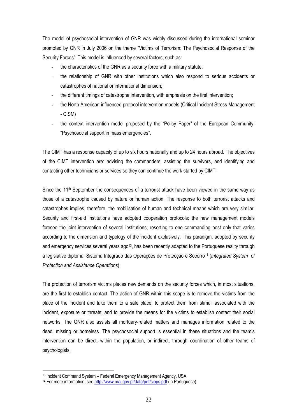The model of psychosocial intervention of GNR was widely discussed during the international seminar promoted by GNR in July 2006 on the theme "Victims of Terrorism: The Psychosocial Response of the Security Forces". This model is influenced by several factors, such as:

- the characteristics of the GNR as a security force with a military statute;
- the relationship of GNR with other institutions which also respond to serious accidents or catastrophes of national or international dimension;
- the different timings of catastrophe intervention, with emphasis on the first intervention;
- the North-American-influenced protocol intervention models (Critical Incident Stress Management - CISM)
- the context intervention model proposed by the "Policy Paper" of the European Community: "Psychosocial support in mass emergencies".

The CIMT has a response capacity of up to six hours nationally and up to 24 hours abroad. The objectives of the CIMT intervention are: advising the commanders, assisting the survivors, and identifying and contacting other technicians or services so they can continue the work started by CIMT.

Since the 11<sup>th</sup> September the consequences of a terrorist attack have been viewed in the same way as those of a catastrophe caused by nature or human action. The response to both terrorist attacks and catastrophes implies, therefore, the mobilisation of human and technical means which are very similar. Security and first-aid institutions have adopted cooperation protocols: the new management models foresee the joint intervention of several institutions, resorting to one commanding post only that varies according to the dimension and typology of the incident exclusively. This paradigm, adopted by security and emergency services several years ago<sup>13</sup>, has been recently adapted to the Portuguese reality through a legislative diploma, Sistema Integrado das Operações de Protecção e Socorro14 (*Integrated System of Protection and Assistance Operations*).

The protection of terrorism victims places new demands on the security forces which, in most situations, are the first to establish contact. The action of GNR within this scope is to remove the victims from the place of the incident and take them to a safe place; to protect them from stimuli associated with the incident, exposure or threats; and to provide the means for the victims to establish contact their social networks. The GNR also assists all mortuary-related matters and manages information related to the dead, missing or homeless. The psychosocial support is essential in these situations and the team's intervention can be direct, within the population, or indirect, through coordination of other teams of psychologists.

<sup>13</sup> Incident Command System – Federal Emergency Management Agency, USA

<sup>&</sup>lt;sup>14</sup> For more information, see http://www.mai.gov.pt/data/pdf/siops.pdf (in Portuguese)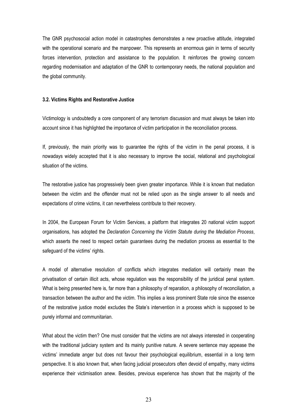The GNR psychosocial action model in catastrophes demonstrates a new proactive attitude, integrated with the operational scenario and the manpower. This represents an enormous gain in terms of security forces intervention, protection and assistance to the population. It reinforces the growing concern regarding modernisation and adaptation of the GNR to contemporary needs, the national population and the global community.

#### **3.2. Victims Rights and Restorative Justice**

Victimology is undoubtedly a core component of any terrorism discussion and must always be taken into account since it has highlighted the importance of victim participation in the reconciliation process.

If, previously, the main priority was to guarantee the rights of the victim in the penal process, it is nowadays widely accepted that it is also necessary to improve the social, relational and psychological situation of the victims.

The restorative justice has progressively been given greater importance. While it is known that mediation between the victim and the offender must not be relied upon as the single answer to all needs and expectations of crime victims, it can nevertheless contribute to their recovery.

In 2004, the European Forum for Victim Services, a platform that integrates 20 national victim support organisations, has adopted the *Declaration Concerning the Victim Statute during the Mediation Process*, which asserts the need to respect certain guarantees during the mediation process as essential to the safeguard of the victims' rights.

A model of alternative resolution of conflicts which integrates mediation will certainly mean the privatisation of certain illicit acts, whose regulation was the responsibility of the juridical penal system. What is being presented here is, far more than a philosophy of reparation, a philosophy of reconciliation, a transaction between the author and the victim. This implies a less prominent State role since the essence of the restorative justice model excludes the State's intervention in a process which is supposed to be purely informal and communitarian.

What about the victim then? One must consider that the victims are not always interested in cooperating with the traditional judiciary system and its mainly punitive nature. A severe sentence may appease the victims' immediate anger but does not favour their psychological equilibrium, essential in a long term perspective. It is also known that, when facing judicial prosecutors often devoid of empathy, many victims experience their victimisation anew. Besides, previous experience has shown that the majority of the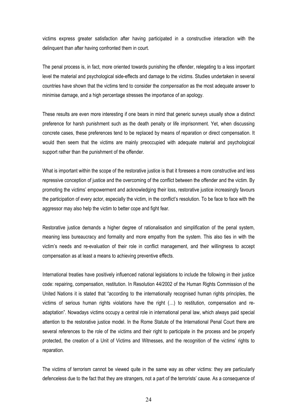victims express greater satisfaction after having participated in a constructive interaction with the delinquent than after having confronted them in court.

The penal process is, in fact, more oriented towards punishing the offender, relegating to a less important level the material and psychological side-effects and damage to the victims. Studies undertaken in several countries have shown that the victims tend to consider the *compensation* as the most adequate answer to minimise damage, and a high percentage stresses the importance of an apology.

These results are even more interesting if one bears in mind that generic surveys usually show a distinct preference for harsh punishment such as the death penalty or life imprisonment. Yet, when discussing concrete cases, these preferences tend to be replaced by means of reparation or direct compensation. It would then seem that the victims are mainly preoccupied with adequate material and psychological support rather than the punishment of the offender.

What is important within the scope of the restorative justice is that it foresees a more constructive and less repressive conception of justice and the overcoming of the conflict between the offender and the victim. By promoting the victims' empowerment and acknowledging their loss, restorative justice increasingly favours the participation of every actor, especially the victim, in the conflict's resolution. To be face to face with the aggressor may also help the victim to better cope and fight fear.

Restorative justice demands a higher degree of rationalisation and simplification of the penal system, meaning less bureaucracy and formality and more empathy from the system. This also ties in with the victim's needs and re-evaluation of their role in conflict management, and their willingness to accept compensation as at least a means to achieving preventive effects.

International treaties have positively influenced national legislations to include the following in their justice code: repairing, compensation, restitution. In Resolution 44/2002 of the Human Rights Commission of the United Nations it is stated that "according to the internationally recognised human rights principles, the victims of serious human rights violations have the right (...) to restitution, compensation and readaptation". Nowadays victims occupy a central role in international penal law, which always paid special attention to the restorative justice model. In the Rome Statute of the International Penal Court there are several references to the role of the victims and their right to participate in the process and be properly protected, the creation of a Unit of Victims and Witnesses, and the recognition of the victims' rights to reparation.

The victims of terrorism cannot be viewed quite in the same way as other victims: they are particularly defenceless due to the fact that they are strangers, not a part of the terrorists' cause. As a consequence of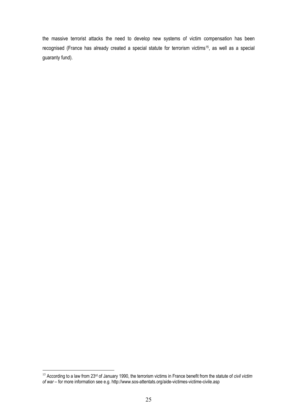the massive terrorist attacks the need to develop new systems of victim compensation has been recognised (France has already created a special statute for terrorism victims15, as well as a special guaranty fund).

 $\overline{a}$ <sup>15</sup> According to a law from 23rd of January 1990, the terrorism victims in France benefit from the statute of *civil victim of war* – for more information see e.g. http://www.sos-attentats.org/aide-victimes-victime-civile.asp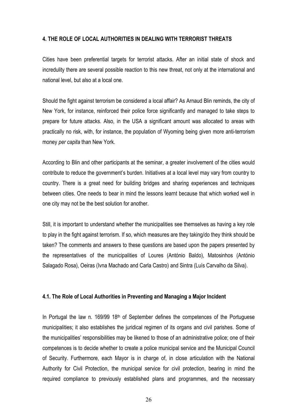#### **4. THE ROLE OF LOCAL AUTHORITIES IN DEALING WITH TERRORIST THREATS**

Cities have been preferential targets for terrorist attacks. After an initial state of shock and incredulity there are several possible reaction to this new threat, not only at the international and national level, but also at a local one.

Should the fight against terrorism be considered a local affair? As Arnaud Blin reminds, the city of New York, for instance, reinforced their police force significantly and managed to take steps to prepare for future attacks. Also, in the USA a significant amount was allocated to areas with practically no risk, with, for instance, the population of Wyoming being given more anti-terrorism money *per capita* than New York.

According to Blin and other participants at the seminar, a greater involvement of the cities would contribute to reduce the government's burden. Initiatives at a local level may vary from country to country. There is a great need for building bridges and sharing experiences and techniques between cities. One needs to bear in mind the lessons learnt because that which worked well in one city may not be the best solution for another.

Still, it is important to understand whether the municipalities see themselves as having a key role to play in the fight against terrorism. If so, which measures are they taking/do they think should be taken? The comments and answers to these questions are based upon the papers presented by the representatives of the municipalities of Loures (António Baldo), Matosinhos (António Salagado Rosa), Oeiras (Ivna Machado and Carla Castro) and Sintra (Luís Carvalho da Silva).

#### **4.1. The Role of Local Authorities in Preventing and Managing a Major Incident**

In Portugal the law n. 169/99 18<sup>th</sup> of September defines the competences of the Portuguese municipalities; it also establishes the juridical regimen of its organs and civil parishes. Some of the municipalities' responsibilities may be likened to those of an administrative police; one of their competences is to decide whether to create a police municipal service and the Municipal Council of Security. Furthermore, each Mayor is in charge of, in close articulation with the National Authority for Civil Protection, the municipal service for civil protection, bearing in mind the required compliance to previously established plans and programmes, and the necessary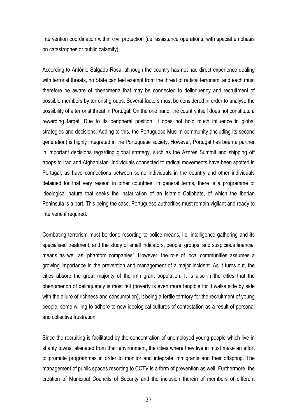intervention coordination within civil protection (i.e. assistance operations, with special emphasis on catastrophes or public calamity).

According to António Salgado Rosa, although the country has not had direct experience dealing with terrorist threats, no State can feel exempt from the threat of radical terrorism, and each must therefore be aware of phenomena that may be connected to delinquency and recruitment of possible members by terrorist groups. Several factors must be considered in order to analyse the possibility of a terrorist threat in Portugal. On the one hand, the country itself does not constitute a rewarding target. Due to its peripheral position, it does not hold much influence in global strategies and decisions. Adding to this, the Portuguese Muslim community (including its second generation) is highly integrated in the Portuguese society. However, Portugal has been a partner in important decisions regarding global strategy, such as the Azores Summit and shipping off troops to Iraq and Afghanistan. Individuals connected to radical movements have been spotted in Portugal, as have connections between some individuals in the country and other individuals detained for that very reason in other countries. In general terms, there is a programme of ideological nature that seeks the instauration of an Islamic Caliphate, of which the Iberian Peninsula is a part. This being the case, Portuguese authorities must remain vigilant and ready to intervene if required.

Combating terrorism must be done resorting to police means, i.e. intelligence gathering and its specialised treatment, and the study of small indicators, people, groups, and suspicious financial means as well as "phantom companies". However, the role of local communities assumes a growing importance in the prevention and management of a major incident. As it turns out, the cities absorb the great majority of the immigrant population. It is also in the cities that the phenomenon of delinquency is most felt (poverty is even more tangible for it walks side by side with the allure of richness and consumption), it being a fertile territory for the recruitment of young people, some willing to adhere to new ideological cultures of contestation as a result of personal and collective frustration.

Since the recruiting is facilitated by the concentration of unemployed young people which live in shanty towns, alienated from their environment, the cities where they live in must make an effort to promote programmes in order to monitor and integrate immigrants and their offspring. The management of public spaces resorting to CCTV is a form of prevention as well. Furthermore, the creation of Municipal Councils of Security and the inclusion therein of members of different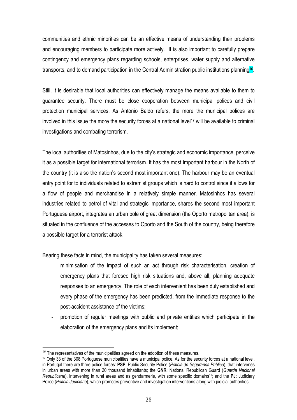communities and ethnic minorities can be an effective means of understanding their problems and encouraging members to participate more actively. It is also important to carefully prepare contingency and emergency plans regarding schools, enterprises, water supply and alternative transports, and to demand participation in the Central Administration public institutions planning<sup>16</sup>.

Still, it is desirable that local authorities can effectively manage the means available to them to guarantee security. There must be close cooperation between municipal polices and civil protection municipal services. As António Baldo refers, the more the municipal polices are involved in this issue the more the security forces at a national level<sup>17</sup> will be available to criminal investigations and combating terrorism.

The local authorities of Matosinhos, due to the city's strategic and economic importance, perceive it as a possible target for international terrorism. It has the most important harbour in the North of the country (it is also the nation's second most important one). The harbour may be an eventual entry point for to individuals related to extremist groups which is hard to control since it allows for a flow of people and merchandise in a relatively simple manner. Matosinhos has several industries related to petrol of vital and strategic importance, shares the second most important Portuguese airport, integrates an urban pole of great dimension (the Oporto metropolitan area), is situated in the confluence of the accesses to Oporto and the South of the country, being therefore a possible target for a terrorist attack.

Bearing these facts in mind, the municipality has taken several measures:

- minimisation of the impact of such an act through risk characterisation, creation of emergency plans that foresee high risk situations and, above all, planning adequate responses to an emergency. The role of each intervenient has been duly established and every phase of the emergency has been predicted, from the immediate response to the post-accident assistance of the victims;
- promotion of regular meetings with public and private entities which participate in the elaboration of the emergency plans and its implement;

 $16$  The representatives of the municipalities agreed on the adoption of these measures.

<sup>17</sup> Only 33 of the 308 Portuguese municipalities have a municipal police. As for the security forces at a national level, in Portugal there are three police forces: **PSP**: Public Security Police (*Polícia de Segurança Pública*), that intervenes in urban areas with more than 20 thousand inhabitants; the **GNR**: National Republican Guard (*Guarda Nacional Republicana*), intervening in rural areas and as gendarmerie, with some specific domains17; and the **PJ**: Judiciary Police (*Polícia Judiciária*), which promotes preventive and investigation interventions along with judicial authorities.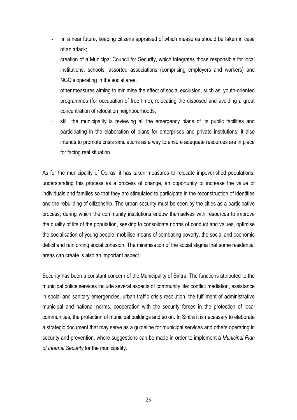- in a near future, keeping citizens appraised of which measures should be taken in case of an attack;
- creation of a Municipal Council for Security, which integrates those responsible for local institutions, schools, assorted associations (comprising employers and workers) and NGO's operating in the social area.
- other measures aiming to minimise the effect of social exclusion, such as: youth-oriented programmes (for occupation of free time), relocating the disposed and avoiding a great concentration of relocation neighbourhoods;
- still, the municipality is reviewing all the emergency plans of its public facilities and participating in the elaboration of plans for enterprises and private institutions; it also intends to promote crisis simulations as a way to ensure adequate resources are in place for facing real situation.

As for the municipality of Oeiras, it has taken measures to relocate impoverished populations, understanding this process as a process of change, an opportunity to increase the value of individuals and families so that they are stimulated to participate in the reconstruction of identities and the rebuilding of citizenship. The urban security must be seen by the cities as a participative process, during which the community institutions endow themselves with resources to improve the quality of life of the population, seeking to consolidate norms of conduct and values, optimise the socialisation of young people, mobilise means of combating poverty, the social and economic deficit and reinforcing social cohesion. The minimisation of the social stigma that some residential areas can create is also an important aspect.

Security has been a constant concern of the Municipality of Sintra. The functions attributed to the municipal police services include several aspects of community life: conflict mediation, assistance in social and sanitary emergencies, urban traffic crisis resolution, the fulfilment of administrative municipal and national norms, cooperation with the security forces in the protection of local communities, the protection of municipal buildings and so on. In Sintra it is necessary to elaborate a strategic document that may serve as a guideline for municipal services and others operating in security and prevention, where suggestions can be made in order to implement a *Municipal Plan of Internal Security* for the municipality.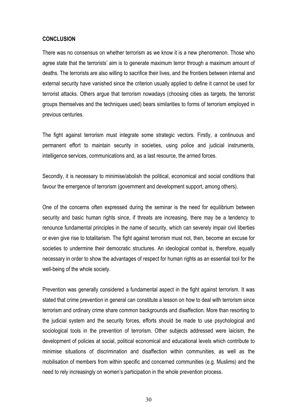#### **CONCLUSION**

There was no consensus on whether terrorism as we know it is a new phenomenon. Those who agree state that the terrorists' aim is to generate maximum terror through a maximum amount of deaths. The terrorists are also willing to sacrifice their lives, and the frontiers between internal and external security have vanished since the criterion usually applied to define it cannot be used for terrorist attacks. Others argue that terrorism nowadays (choosing cities as targets, the terrorist groups themselves and the techniques used) bears similarities to forms of terrorism employed in previous centuries.

The fight against terrorism must integrate some strategic vectors. Firstly, a continuous and permanent effort to maintain security in societies, using police and judicial instruments, intelligence services, communications and, as a last resource, the armed forces.

Secondly, it is necessary to minimise/abolish the political, economical and social conditions that favour the emergence of terrorism (government and development support, among others).

One of the concerns often expressed during the seminar is the need for equilibrium between security and basic human rights since, if threats are increasing, there may be a tendency to renounce fundamental principles in the name of security, which can severely impair civil liberties or even give rise to totalitarism. The fight against terrorism must not, then, become an excuse for societies to undermine their democratic structures. An ideological combat is, therefore, equally necessary in order to show the advantages of respect for human rights as an essential tool for the well-being of the whole society.

Prevention was generally considered a fundamental aspect in the fight against terrorism. It was stated that crime prevention in general can constitute a lesson on how to deal with terrorism since terrorism and ordinary crime share common backgrounds and disaffection. More than resorting to the judicial system and the security forces, efforts should be made to use psychological and sociological tools in the prevention of terrorism. Other subjects addressed were laicism, the development of policies at social, political economical and educational levels which contribute to minimise situations of discrimination and disaffection within communities, as well as the mobilisation of members from within specific and concerned communities (e.g. Muslims) and the need to rely increasingly on women's participation in the whole prevention process.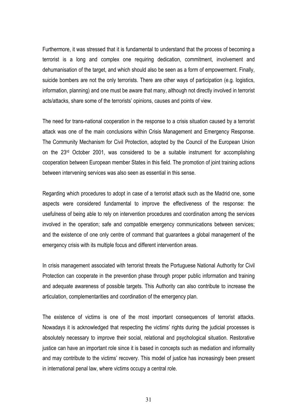Furthermore, it was stressed that it is fundamental to understand that the process of becoming a terrorist is a long and complex one requiring dedication, commitment, involvement and dehumanisation of the target, and which should also be seen as a form of empowerment. Finally, suicide bombers are not the only terrorists. There are other ways of participation (e.g. logistics, information, planning) and one must be aware that many, although not directly involved in terrorist acts/attacks, share some of the terrorists' opinions, causes and points of view.

The need for trans-national cooperation in the response to a crisis situation caused by a terrorist attack was one of the main conclusions within Crisis Management and Emergency Response. The Community Mechanism for Civil Protection, adopted by the Council of the European Union on the  $23<sup>rd</sup>$  October 2001, was considered to be a suitable instrument for accomplishing cooperation between European member States in this field. The promotion of joint training actions between intervening services was also seen as essential in this sense.

Regarding which procedures to adopt in case of a terrorist attack such as the Madrid one, some aspects were considered fundamental to improve the effectiveness of the response: the usefulness of being able to rely on intervention procedures and coordination among the services involved in the operation; safe and compatible emergency communications between services; and the existence of one only centre of command that guarantees a global management of the emergency crisis with its multiple focus and different intervention areas.

In crisis management associated with terrorist threats the Portuguese National Authority for Civil Protection can cooperate in the prevention phase through proper public information and training and adequate awareness of possible targets. This Authority can also contribute to increase the articulation, complementarities and coordination of the emergency plan.

The existence of victims is one of the most important consequences of terrorist attacks. Nowadays it is acknowledged that respecting the victims' rights during the judicial processes is absolutely necessary to improve their social, relational and psychological situation. Restorative justice can have an important role since it is based in concepts such as mediation and informality and may contribute to the victims' recovery. This model of justice has increasingly been present in international penal law, where victims occupy a central role.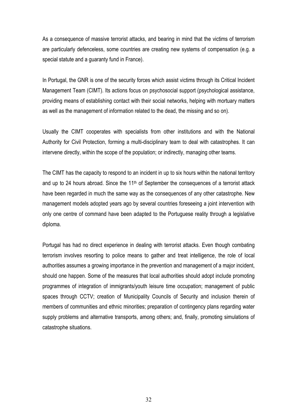As a consequence of massive terrorist attacks, and bearing in mind that the victims of terrorism are particularly defenceless, some countries are creating new systems of compensation (e.g. a special statute and a guaranty fund in France).

In Portugal, the GNR is one of the security forces which assist victims through its Critical Incident Management Team (CIMT). Its actions focus on psychosocial support (psychological assistance, providing means of establishing contact with their social networks, helping with mortuary matters as well as the management of information related to the dead, the missing and so on).

Usually the CIMT cooperates with specialists from other institutions and with the National Authority for Civil Protection, forming a multi-disciplinary team to deal with catastrophes. It can intervene directly, within the scope of the population; or indirectly, managing other teams.

The CIMT has the capacity to respond to an incident in up to six hours within the national territory and up to 24 hours abroad. Since the  $11<sup>th</sup>$  of September the consequences of a terrorist attack have been regarded in much the same way as the consequences of any other catastrophe. New management models adopted years ago by several countries foreseeing a joint intervention with only one centre of command have been adapted to the Portuguese reality through a legislative diploma.

Portugal has had no direct experience in dealing with terrorist attacks. Even though combating terrorism involves resorting to police means to gather and treat intelligence, the role of local authorities assumes a growing importance in the prevention and management of a major incident, should one happen. Some of the measures that local authorities should adopt include promoting programmes of integration of immigrants/youth leisure time occupation; management of public spaces through CCTV; creation of Municipality Councils of Security and inclusion therein of members of communities and ethnic minorities; preparation of contingency plans regarding water supply problems and alternative transports, among others; and, finally, promoting simulations of catastrophe situations.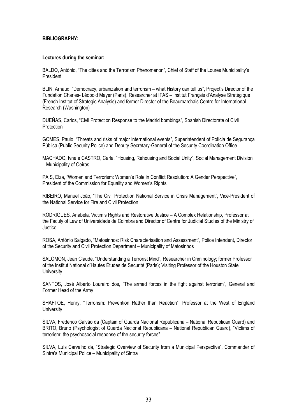#### **BIBLIOGRAPHY:**

#### **Lectures during the seminar:**

BALDO, António, "The cities and the Terrorism Phenomenon", Chief of Staff of the Loures Municipality's President

BLIN, Arnaud, "Democracy, urbanization and terrorism – what History can tell us", Project's Director of the Fundation Charles- Léopold Mayer (Paris), Researcher at IFAS – Institut Français d'Analyse Stratégique (French Institut of Strategic Analysis) and former Director of the Beaumarchais Centre for International Research (Washington)

DUEÑAS, Carlos, "Civil Protection Response to the Madrid bombings", Spanish Directorate of Civil **Protection** 

GOMES, Paulo, "Threats and risks of major international events", Superintendent of Polícia de Segurança Pública (Public Security Police) and Deputy Secretary-General of the Security Coordination Office

MACHADO, Ivna e CASTRO, Carla, "Housing, Rehousing and Social Unity", Social Management Division – Municipality of Oeiras

PAIS, Elza, "Women and Terrorism: Women's Role in Conflict Resolution: A Gender Perspective", President of the Commission for Equality and Women's Rights

RIBEIRO, Manuel João, "The Civil Protection National Service in Crisis Management", Vice-President of the National Service for Fire and Civil Protection

RODRIGUES, Anabela, Victim's Rights and Restorative Justice – A Complex Relationship, Professor at the Faculy of Law of Universidade de Coimbra and Director of Centre for Judicial Studies of the Ministry of Justice

ROSA, António Salgado, "Matosinhos: Risk Characterisation and Assessment", Police Intendent, Director of the Security and Civil Protection Department – Municipality of Matosinhos

SALOMON, Jean Claude, "Understanding a Terrorist Mind", Researcher in Criminology; former Professor of the Institut National d'Hautes Études de Securité (Paris); Visiting Professor of the Houston State **University** 

SANTOS, José Alberto Loureiro dos, "The armed forces in the fight against terrorism", General and Former Head of the Army

SHAFTOE, Henry, "Terrorism: Prevention Rather than Reaction", Professor at the West of England **University** 

SILVA, Frederico Galvão da (Captain of Guarda Nacional Republicana – National Republican Guard) and BRITO, Bruno (Psychologist of Guarda Nacional Republicana – National Republican Guard), "Victims of terrorism: the psychosocial response of the security forces".

SILVA, Luís Carvalho da, "Strategic Overview of Security from a Municipal Perspective", Commander of Sintra's Municipal Police – Municipality of Sintra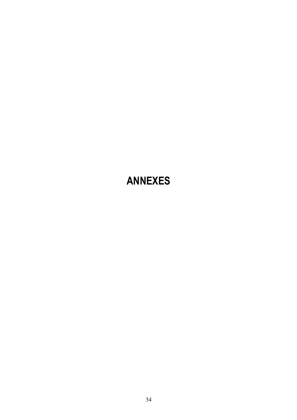# **ANNEXES**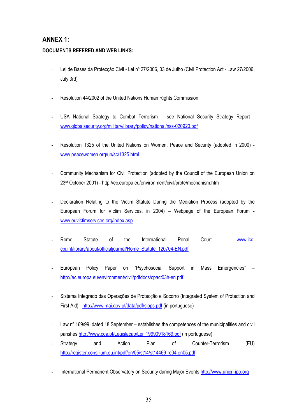# **ANNEX 1:**

# **DOCUMENTS REFERED AND WEB LINKS:**

- Lei de Bases da Protecção Civil Lei nº 27/2006, 03 de Julho (Civil Protection Act Law 27/2006, July 3rd)
- Resolution 44/2002 of the United Nations Human Rights Commission
- USA National Strategy to Combat Terrorism see National Security Strategy Report www.globalsecurity.org/military/library/policy/national/nss-020920.pdf
- Resolution 1325 of the United Nations on Women, Peace and Security (adopted in 2000) www.peacewomen.org/un/sc/1325.html
- Community Mechanism for Civil Protection (adopted by the Council of the European Union on 23rd October 2001) - http://ec.europa.eu/environment/civil/prote/mechanism.htm
- Declaration Relating to the Victim Statute During the Mediation Process (adopted by the European Forum for Victim Services, in 2004) – Webpage of the European Forum www.euvictimservices.org/index.asp
- Rome Statute of the International Penal Court www.icccpi.int/library/about/officialjournal/Rome\_Statute\_120704-EN.pdf
- European Policy Paper on "Psychosocial Support in Mass Emergencies" http://ec.europa.eu/environment/civil/pdfdocs/cpact03h-en.pdf
- Sistema Integrado das Operações de Protecção e Socorro (Integrated System of Protection and First Aid) - http://www.mai.gov.pt/data/pdf/siops.pdf (in portuguese)
- Law nº 169/99, dated 18 September establishes the competences of the municipalities and civil parishes http://www.cga.pt/Legislacao/Lei\_19990918169.pdf (in portuguese)
- Strategy and Action Plan of Counter-Terrorism (EU) http://register.consilium.eu.int/pdf/en/05/st14/st14469-re04.en05.pdf
- International Permanent Observatory on Security during Major Events http://www.unicri-ipo.org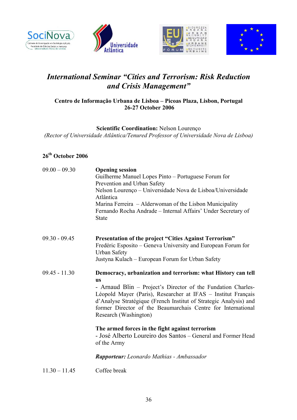







# *International Seminar "Cities and Terrorism: Risk Reduction and Crisis Management"*

# **Centro de Informação Urbana de Lisboa – Picoas Plaza, Lisbon, Portugal 26-27 October 2006**

**Scientific Coordination:** Nelson Lourenço *(Rector of Universidade Atlântica/Tenured Professor of Universidade Nova de Lisboa)* 

# **26th October 2006**

| $09.00 - 09.30$ | <b>Opening session</b><br>Guilherme Manuel Lopes Pinto - Portuguese Forum for<br>Prevention and Urban Safety<br>Nelson Lourenço - Universidade Nova de Lisboa/Universidade<br>Atlântica<br>Marina Ferreira – Alderwoman of the Lisbon Municipality<br>Fernando Rocha Andrade - Internal Affairs' Under Secretary of<br><b>State</b>                                      |
|-----------------|--------------------------------------------------------------------------------------------------------------------------------------------------------------------------------------------------------------------------------------------------------------------------------------------------------------------------------------------------------------------------|
| $09.30 - 09.45$ | Presentation of the project "Cities Against Terrorism"<br>Fredéric Esposito – Geneva University and European Forum for                                                                                                                                                                                                                                                   |
|                 | <b>Urban Safety</b><br>Justyna Kulach – European Forum for Urban Safety                                                                                                                                                                                                                                                                                                  |
| $09.45 - 11.30$ | Democracy, urbanization and terrorism: what History can tell<br><b>US</b><br>- Arnaud Blin – Project's Director of the Fundation Charles-<br>Léopold Mayer (Paris), Researcher at IFAS – Institut Français<br>d'Analyse Stratégique (French Institut of Strategic Analysis) and<br>former Director of the Beaumarchais Centre for International<br>Research (Washington) |
|                 | The armed forces in the fight against terrorism<br>- José Alberto Loureiro dos Santos – General and Former Head<br>of the Army                                                                                                                                                                                                                                           |
|                 | <b>Rapporteur:</b> Leonardo Mathias - Ambassador                                                                                                                                                                                                                                                                                                                         |

11.30 – 11.45 Coffee break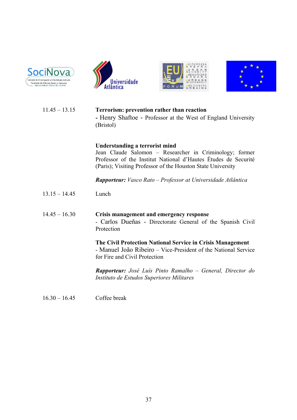







# 11.45 – 13.15 **Terrorism: prevention rather than reaction -** Henry Shaftoe - Professor at the West of England University (Bristol)

### **Understanding a terrorist mind**

Jean Claude Salomon – Researcher in Criminology; former Professor of the Institut National d'Hautes Études de Securité (Paris); Visiting Professor of the Houston State University

*Rapporteur: Vasco Rato – Professor at Universidade Atlântica* 

13.15 – 14.45 Lunch

# 14.45 – 16.30 **Crisis management and emergency response** - Carlos Dueñas - Directorate General of the Spanish Civil Protection

**The Civil Protection National Service in Crisis Management**  - Manuel João Ribeiro – Vice-President of the National Service for Fire and Civil Protection

*Rapporteur: José Luís Pinto Ramalho – General, Director do Instituto de Estudos Superiores Militares*

16.30 – 16.45 Coffee break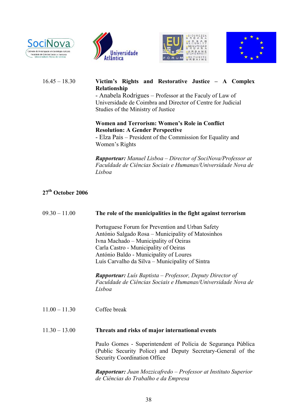







## 16.45 – 18.30 **Victim's Rights and Restorative Justice – A Complex Relationship**

- Anabela Rodrigues – Professor at the Faculy of Law of Universidade de Coimbra and Director of Centre for Judicial Studies of the Ministry of Justice

## **Women and Terrorism: Women's Role in Conflict Resolution: A Gender Perspective**

- Elza Pais – President of the Commission for Equality and Women's Rights

*Rapporteur: Manuel Lisboa – Director of SociNova/Professor at Faculdade de Ciências Sociais e Humanas/Universidade Nova de Lisboa*

# **27th October 2006**

# 09.30 – 11.00 **The role of the municipalities in the fight against terrorism**

Portuguese Forum for Prevention and Urban Safety António Salgado Rosa – Municipality of Matosinhos Ivna Machado – Municipality of Oeiras Carla Castro - Municipality of Oeiras António Baldo - Municipality of Loures Luís Carvalho da Silva – Municipality of Sintra

*Rapporteur: Luís Baptista – Professor, Deputy Director of Faculdade de Ciências Sociais e Humanas/Universidade Nova de Lisboa*

11.00 – 11.30 Coffee break

#### 11.30 – 13.00 **Threats and risks of major international events**

Paulo Gomes - Superintendent of Polícia de Segurança Pública (Public Security Police) and Deputy Secretary-General of the Security Coordination Office

*Rapporteur: Juan Mozzicafredo – Professor at Instituto Superior de Ciências do Trabalho e da Empresa*